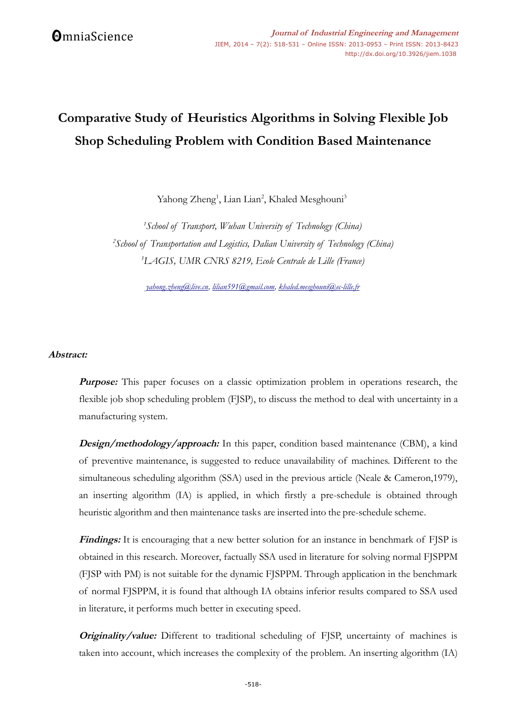# **Comparative Study of Heuristics Algorithms in Solving Flexible Job Shop Scheduling Problem with Condition Based Maintenance**

Yahong Zheng<sup>1</sup>, Lian Lian<sup>2</sup>, Khaled Mesghouni<sup>3</sup>

*<sup>1</sup>School of Transport, Wuhan University of Technology (China) <sup>2</sup>School of Transportation and Logistics, Dalian University of Technology (China) <sup>3</sup>LAGIS, UMR CNRS 8219, Ecole Centrale de Lille (France)*

*[yahong.zheng@live.cn,](mailto:yahong.zheng@live.cn) [lilian591@gmail.com,](mailto:lilian591@gmail.com) [khaled.mesghouni@ec-lille.fr](mailto:khaled.mesghouni@ec-lille.fr)*

## **Abstract:**

**Purpose:** This paper focuses on a classic optimization problem in operations research, the flexible job shop scheduling problem (FJSP), to discuss the method to deal with uncertainty in a manufacturing system.

**Design/methodology/approach:** In this paper, condition based maintenance (CBM), a kind of preventive maintenance, is suggested to reduce unavailability of machines. Different to the simultaneous scheduling algorithm (SSA) used in the previous article (Neale & Cameron,1979), an inserting algorithm (IA) is applied, in which firstly a pre-schedule is obtained through heuristic algorithm and then maintenance tasks are inserted into the pre-schedule scheme.

**Findings:** It is encouraging that a new better solution for an instance in benchmark of FJSP is obtained in this research. Moreover, factually SSA used in literature for solving normal FJSPPM (FJSP with PM) is not suitable for the dynamic FJSPPM. Through application in the benchmark of normal FJSPPM, it is found that although IA obtains inferior results compared to SSA used in literature, it performs much better in executing speed.

**Originality/value:** Different to traditional scheduling of FJSP, uncertainty of machines is taken into account, which increases the complexity of the problem. An inserting algorithm (IA)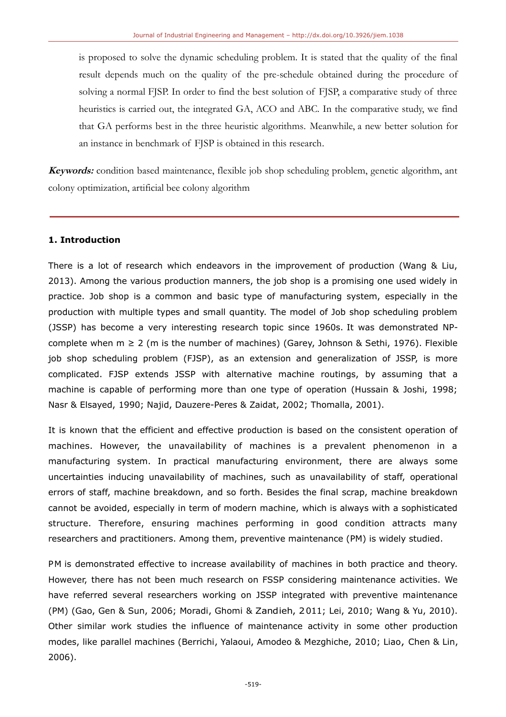is proposed to solve the dynamic scheduling problem. It is stated that the quality of the final result depends much on the quality of the pre-schedule obtained during the procedure of solving a normal FJSP. In order to find the best solution of FJSP, a comparative study of three heuristics is carried out, the integrated GA, ACO and ABC. In the comparative study, we find that GA performs best in the three heuristic algorithms. Meanwhile, a new better solution for an instance in benchmark of FJSP is obtained in this research.

**Keywords:** condition based maintenance, flexible job shop scheduling problem, genetic algorithm, ant colony optimization, artificial bee colony algorithm

# **1. Introduction**

There is a lot of research which endeavors in the improvement of production (Wang & Liu, 2013). Among the various production manners, the job shop is a promising one used widely in practice. Job shop is a common and basic type of manufacturing system, especially in the production with multiple types and small quantity. The model of Job shop scheduling problem (JSSP) has become a very interesting research topic since 1960s. It was demonstrated NPcomplete when  $m \ge 2$  (m is the number of machines) (Garey, Johnson & Sethi, 1976). Flexible job shop scheduling problem (FJSP), as an extension and generalization of JSSP, is more complicated. FJSP extends JSSP with alternative machine routings, by assuming that a machine is capable of performing more than one type of operation (Hussain & Joshi, 1998; Nasr & Elsayed, 1990; Najid, Dauzere-Peres & Zaidat, 2002; Thomalla, 2001).

It is known that the efficient and effective production is based on the consistent operation of machines. However, the unavailability of machines is a prevalent phenomenon in a manufacturing system. In practical manufacturing environment, there are always some uncertainties inducing unavailability of machines, such as unavailability of staff, operational errors of staff, machine breakdown, and so forth. Besides the final scrap, machine breakdown cannot be avoided, especially in term of modern machine, which is always with a sophisticated structure. Therefore, ensuring machines performing in good condition attracts many researchers and practitioners. Among them, preventive maintenance (PM) is widely studied.

PM is demonstrated effective to increase availability of machines in both practice and theory. However, there has not been much research on FSSP considering maintenance activities. We have referred several researchers working on JSSP integrated with preventive maintenance (PM) (Gao, Gen & Sun, 2006; Moradi, Ghomi & Zandieh, 2011; Lei, 2010; Wang & Yu, 2010). Other similar work studies the influence of maintenance activity in some other production modes, like parallel machines (Berrichi, Yalaoui, Amodeo & Mezghiche, 2010; Liao, Chen & Lin, 2006).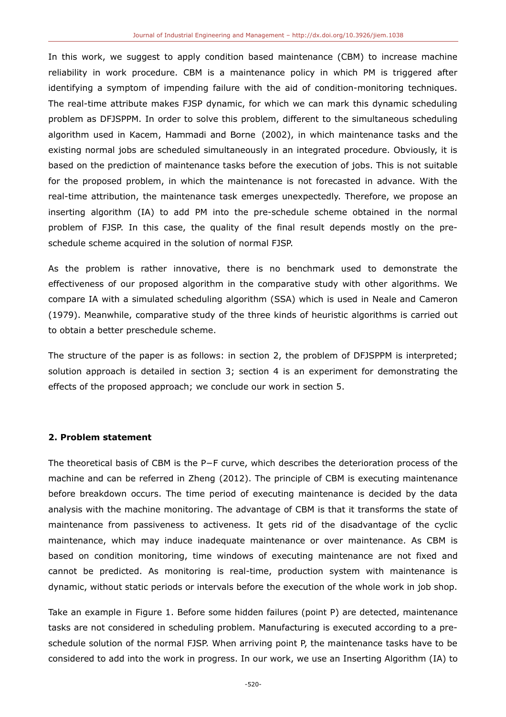In this work, we suggest to apply condition based maintenance (CBM) to increase machine reliability in work procedure. CBM is a maintenance policy in which PM is triggered after identifying a symptom of impending failure with the aid of condition-monitoring techniques. The real-time attribute makes FJSP dynamic, for which we can mark this dynamic scheduling problem as DFJSPPM. In order to solve this problem, different to the simultaneous scheduling algorithm used in Kacem, Hammadi and Borne (2002), in which maintenance tasks and the existing normal jobs are scheduled simultaneously in an integrated procedure. Obviously, it is based on the prediction of maintenance tasks before the execution of jobs. This is not suitable for the proposed problem, in which the maintenance is not forecasted in advance. With the real-time attribution, the maintenance task emerges unexpectedly. Therefore, we propose an inserting algorithm (IA) to add PM into the pre-schedule scheme obtained in the normal problem of FJSP. In this case, the quality of the final result depends mostly on the preschedule scheme acquired in the solution of normal FJSP.

As the problem is rather innovative, there is no benchmark used to demonstrate the effectiveness of our proposed algorithm in the comparative study with other algorithms. We compare IA with a simulated scheduling algorithm (SSA) which is used in Neale and Cameron (1979). Meanwhile, comparative study of the three kinds of heuristic algorithms is carried out to obtain a better preschedule scheme.

The structure of the paper is as follows: in section 2, the problem of DFJSPPM is interpreted; solution approach is detailed in section 3; section 4 is an experiment for demonstrating the effects of the proposed approach; we conclude our work in section 5.

## **2. Problem statement**

The theoretical basis of CBM is the P−F curve, which describes the deterioration process of the machine and can be referred in Zheng (2012). The principle of CBM is executing maintenance before breakdown occurs. The time period of executing maintenance is decided by the data analysis with the machine monitoring. The advantage of CBM is that it transforms the state of maintenance from passiveness to activeness. It gets rid of the disadvantage of the cyclic maintenance, which may induce inadequate maintenance or over maintenance. As CBM is based on condition monitoring, time windows of executing maintenance are not fixed and cannot be predicted. As monitoring is real-time, production system with maintenance is dynamic, without static periods or intervals before the execution of the whole work in job shop.

Take an example in Figure 1. Before some hidden failures (point P) are detected, maintenance tasks are not considered in scheduling problem. Manufacturing is executed according to a preschedule solution of the normal FJSP. When arriving point P, the maintenance tasks have to be considered to add into the work in progress. In our work, we use an Inserting Algorithm (IA) to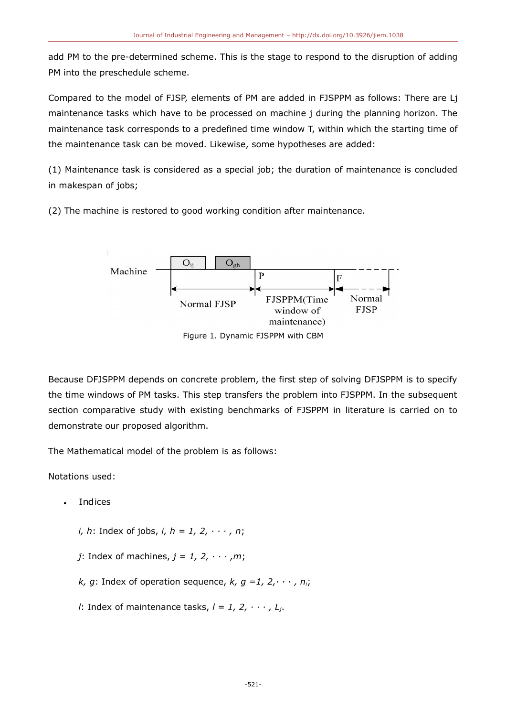add PM to the pre-determined scheme. This is the stage to respond to the disruption of adding PM into the preschedule scheme.

Compared to the model of FJSP, elements of PM are added in FJSPPM as follows: There are Lj maintenance tasks which have to be processed on machine j during the planning horizon. The maintenance task corresponds to a predefined time window T, within which the starting time of the maintenance task can be moved. Likewise, some hypotheses are added:

(1) Maintenance task is considered as a special job; the duration of maintenance is concluded in makespan of jobs;

(2) The machine is restored to good working condition after maintenance.



Figure 1. Dynamic FJSPPM with CBM

Because DFJSPPM depends on concrete problem, the first step of solving DFJSPPM is to specify the time windows of PM tasks. This step transfers the problem into FJSPPM. In the subsequent section comparative study with existing benchmarks of FJSPPM in literature is carried on to demonstrate our proposed algorithm.

The Mathematical model of the problem is as follows:

Notations used:

- **Indices** 
	- *i, h*: Index of jobs, *i, h = 1, 2, · · · , n*;
	- *j*: Index of machines,  $j = 1, 2, \cdots, m$ ;
	- *k*, *g*: Index of operation sequence,  $k$ ,  $q = 1, 2, \dots, n_i$ ;
	- *l*: Index of maintenance tasks, *l = 1, 2, · · · , Lj*.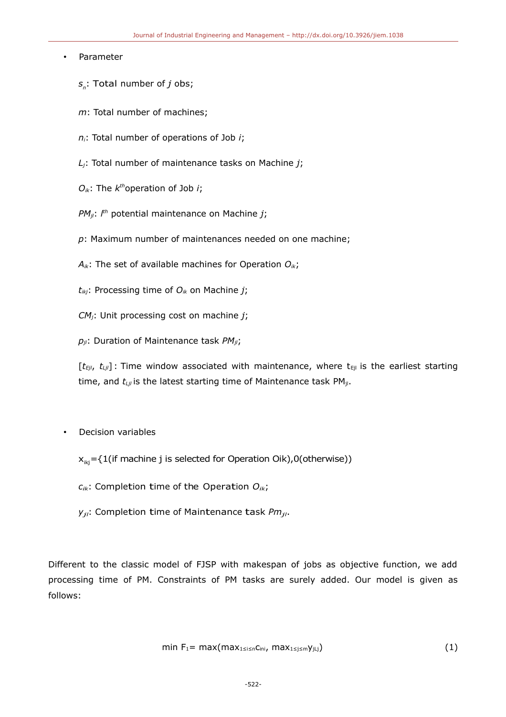#### • Parameter

- *sn* : Total number of *j* obs;
- *m*: Total number of machines;
- *ni*: Total number of operations of Job *i*;
- *Lj*: Total number of maintenance tasks on Machine *j*;
- $O_{ik}$ : The  $k^{th}$ operation of Job *i*;
- *PMjl*: *l th* potential maintenance on Machine *j*;
- *p*: Maximum number of maintenances needed on one machine;
- *Aik*: The set of available machines for Operation *Oik*;
- *tikj*: Processing time of *Oik* on Machine *j*;
- *CMj*: Unit processing cost on machine *j*;
- *pjl*: Duration of Maintenance task *PMjl*;

 $[t_{Ej}$ ,  $t_{Lj}$ ] : Time window associated with maintenance, where  $t_{Ej}$  is the earliest starting time, and  $t_{Lj}$  is the latest starting time of Maintenance task PM<sub>jl</sub>.

• Decision variables

 $x_{ik}$  = {1(if machine j is selected for Operation Oik),0(otherwise))

*<sup>c</sup>ik*: Completion time of the Operation *Oik*;

*<sup>y</sup>jl*: Completion time of Maintenance task *Pmjl*.

Different to the classic model of FJSP with makespan of jobs as objective function, we add processing time of PM. Constraints of PM tasks are surely added. Our model is given as follows:

$$
\min F_1 = \max(\max_{1 \le i \le n} C_{\text{ini}}, \max_{1 \le j \le m} \gamma_{j \downarrow j}) \tag{1}
$$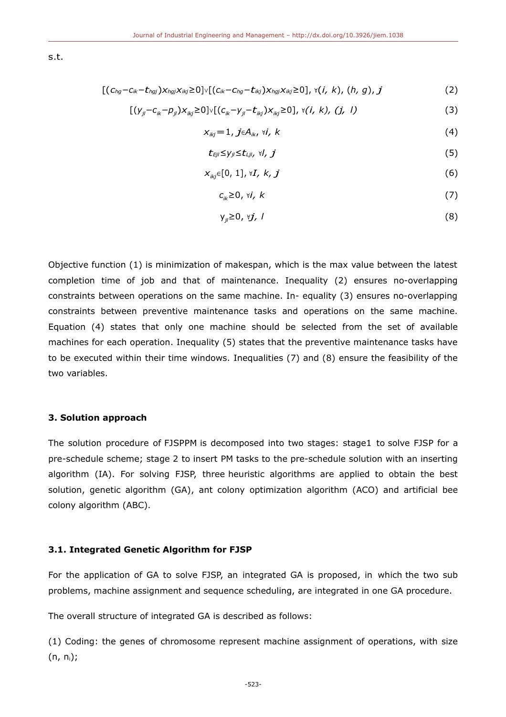s.t.

$$
[(c_{hg}-c_{ik}-t_{hgj})x_{hgj}x_{ikj}\ge0]\vee[(c_{ik}-c_{hg}-t_{ikj})x_{hgj}x_{ikj}\ge0],\vee(i,\,k),\,(h,\,g),\,j \qquad \qquad (2)
$$

$$
[(y_{ji} - c_{ik} - p_{ji})x_{ikj} \ge 0] \vee [(c_{ik} - y_{ji} - t_{ikj})x_{ikj} \ge 0], \forall (i, k), (j, l)
$$
\n(3)

$$
X_{ikj} = 1, j \in A_{ik}, \forall i, k \tag{4}
$$

$$
t_{Ej} \leq y_{ji} \leq t_{Ljl}, \forall l, j \tag{5}
$$

$$
x_{ikj}\in[0,1],\forall I,\,k,\,j\tag{6}
$$

$$
c_{ik} \geq 0, \forall i, k \tag{7}
$$

$$
y_{ji} \geq 0, \forall j, l \tag{8}
$$

Objective function (1) is minimization of makespan, which is the max value between the latest completion time of job and that of maintenance. Inequality (2) ensures no-overlapping constraints between operations on the same machine. In- equality (3) ensures no-overlapping constraints between preventive maintenance tasks and operations on the same machine. Equation (4) states that only one machine should be selected from the set of available machines for each operation. Inequality (5) states that the preventive maintenance tasks have to be executed within their time windows. Inequalities (7) and (8) ensure the feasibility of the two variables.

## **3. Solution approach**

The solution procedure of FJSPPM is decomposed into two stages: stage1 to solve FJSP for a pre-schedule scheme; stage 2 to insert PM tasks to the pre-schedule solution with an inserting algorithm (IA). For solving FJSP, three heuristic algorithms are applied to obtain the best solution, genetic algorithm (GA), ant colony optimization algorithm (ACO) and artificial bee colony algorithm (ABC).

#### **3.1. Integrated Genetic Algorithm for FJSP**

For the application of GA to solve FJSP, an integrated GA is proposed, in which the two sub problems, machine assignment and sequence scheduling, are integrated in one GA procedure.

The overall structure of integrated GA is described as follows:

(1) Coding: the genes of chromosome represent machine assignment of operations, with size  $(n, n<sub>i</sub>)$ ;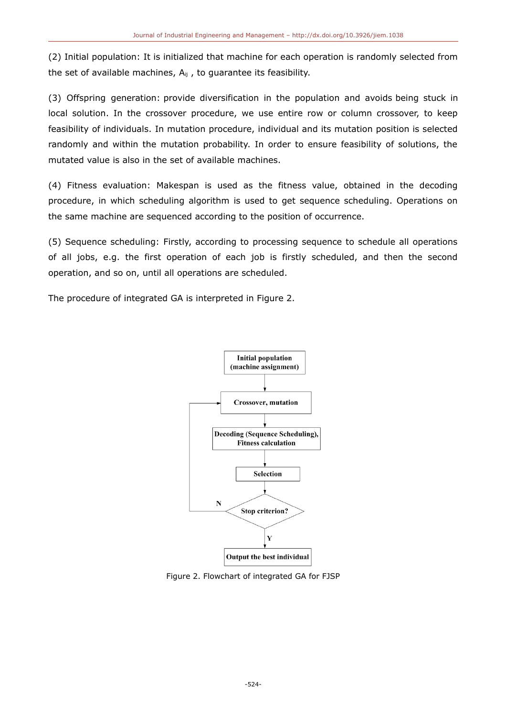(2) Initial population: It is initialized that machine for each operation is randomly selected from the set of available machines,  $A_{ii}$ , to guarantee its feasibility.

(3) Offspring generation: provide diversification in the population and avoids being stuck in local solution. In the crossover procedure, we use entire row or column crossover, to keep feasibility of individuals. In mutation procedure, individual and its mutation position is selected randomly and within the mutation probability. In order to ensure feasibility of solutions, the mutated value is also in the set of available machines.

(4) Fitness evaluation: Makespan is used as the fitness value, obtained in the decoding procedure, in which scheduling algorithm is used to get sequence scheduling. Operations on the same machine are sequenced according to the position of occurrence.

(5) Sequence scheduling: Firstly, according to processing sequence to schedule all operations of all jobs, e.g. the first operation of each job is firstly scheduled, and then the second operation, and so on, until all operations are scheduled.

The procedure of integrated GA is interpreted in Figure 2.



Figure 2. Flowchart of integrated GA for FJSP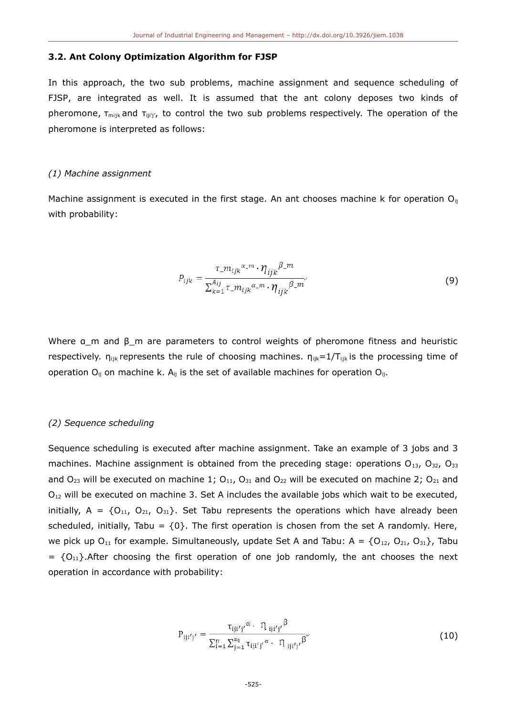#### **3.2. Ant Colony Optimization Algorithm for FJSP**

In this approach, the two sub problems, machine assignment and sequence scheduling of FJSP, are integrated as well. It is assumed that the ant colony deposes two kinds of pheromone,  $\tau_{\text{mix}}$  and  $\tau_{\text{ijij'}}$ , to control the two sub problems respectively. The operation of the pheromone is interpreted as follows:

#### *(1) Machine assignment*

Machine assignment is executed in the first stage. An ant chooses machine k for operation  $O_{ij}$ with probability:

$$
P_{ijk} = \frac{\tau_{.} m_{ijk}{}^{\alpha_{.} m} \cdot \eta_{ijk}{}^{\beta_{.} m}}{\sum_{k=1}^{A_{ij}} \tau_{.} m_{ijk}{}^{\alpha_{.} m} \cdot \eta_{ijk}{}^{\beta_{.} m}}.
$$
(9)

Where  $a$  m and  $\beta$  m are parameters to control weights of pheromone fitness and heuristic respectively.  $n_{ijk}$  represents the rule of choosing machines.  $n_{ijk}=1/T_{ijk}$  is the processing time of operation  $O_{ii}$  on machine k. A<sub>ij</sub> is the set of available machines for operation  $O_{ii}$ .

#### *(2) Sequence scheduling*

Sequence scheduling is executed after machine assignment. Take an example of 3 jobs and 3 machines. Machine assignment is obtained from the preceding stage: operations  $O_{13}$ ,  $O_{32}$ ,  $O_{33}$ and  $O_{23}$  will be executed on machine 1;  $O_{11}$ ,  $O_{31}$  and  $O_{22}$  will be executed on machine 2;  $O_{21}$  and  $O_{12}$  will be executed on machine 3. Set A includes the available jobs which wait to be executed, initially,  $A = \{O_{11}, O_{21}, O_{31}\}$ . Set Tabu represents the operations which have already been scheduled, initially, Tabu =  ${0}$ . The first operation is chosen from the set A randomly. Here, we pick up O<sub>11</sub> for example. Simultaneously, update Set A and Tabu:  $A = \{O_{12}, O_{21}, O_{31}\}$ , Tabu  $= \{O_{11}\}\text{.}$  After choosing the first operation of one job randomly, the ant chooses the next operation in accordance with probability:

$$
P_{iji'j'} = \frac{\tau_{iji'j'}^{\alpha} \cdot \eta_{iji'j'}^{\beta}}{\sum_{i=1}^{n} \sum_{j=1}^{n_i} \tau_{iji'j'}^{\alpha} \cdot \eta_{iji'j'}^{\beta}}.
$$
(10)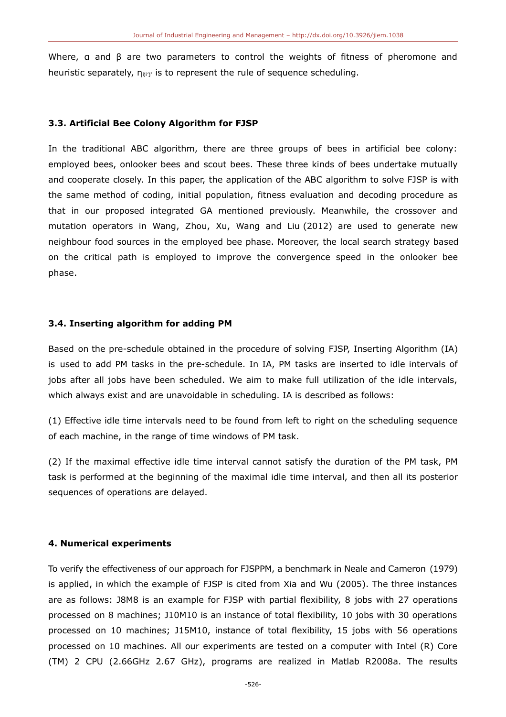Where, a and  $\beta$  are two parameters to control the weights of fitness of pheromone and heuristic separately,  $\eta_{\text{inj}'}$  is to represent the rule of sequence scheduling.

#### **3.3. Artificial Bee Colony Algorithm for FJSP**

In the traditional ABC algorithm, there are three groups of bees in artificial bee colony: employed bees, onlooker bees and scout bees. These three kinds of bees undertake mutually and cooperate closely. In this paper, the application of the ABC algorithm to solve FJSP is with the same method of coding, initial population, fitness evaluation and decoding procedure as that in our proposed integrated GA mentioned previously. Meanwhile, the crossover and mutation operators in Wang, Zhou, Xu, Wang and Liu (2012) are used to generate new neighbour food sources in the employed bee phase. Moreover, the local search strategy based on the critical path is employed to improve the convergence speed in the onlooker bee phase.

#### **3.4. Inserting algorithm for adding PM**

Based on the pre-schedule obtained in the procedure of solving FJSP, Inserting Algorithm (IA) is used to add PM tasks in the pre-schedule. In IA, PM tasks are inserted to idle intervals of jobs after all jobs have been scheduled. We aim to make full utilization of the idle intervals, which always exist and are unavoidable in scheduling. IA is described as follows:

(1) Effective idle time intervals need to be found from left to right on the scheduling sequence of each machine, in the range of time windows of PM task.

(2) If the maximal effective idle time interval cannot satisfy the duration of the PM task, PM task is performed at the beginning of the maximal idle time interval, and then all its posterior sequences of operations are delayed.

## **4. Numerical experiments**

To verify the effectiveness of our approach for FJSPPM, a benchmark in Neale and Cameron (1979) is applied, in which the example of FJSP is cited from Xia and Wu (2005). The three instances are as follows: J8M8 is an example for FJSP with partial flexibility, 8 jobs with 27 operations processed on 8 machines; J10M10 is an instance of total flexibility, 10 jobs with 30 operations processed on 10 machines; J15M10, instance of total flexibility, 15 jobs with 56 operations processed on 10 machines. All our experiments are tested on a computer with Intel (R) Core (TM) 2 CPU (2.66GHz 2.67 GHz), programs are realized in Matlab R2008a. The results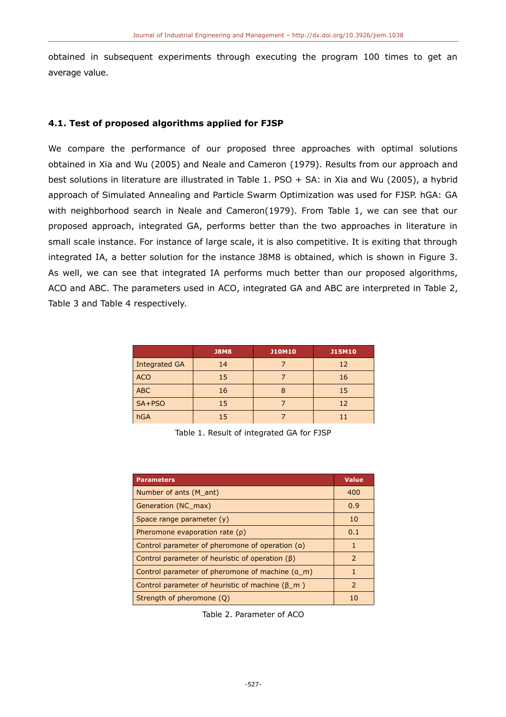obtained in subsequent experiments through executing the program 100 times to get an average value.

## **4.1. Test of proposed algorithms applied for FJSP**

We compare the performance of our proposed three approaches with optimal solutions obtained in Xia and Wu (2005) and Neale and Cameron (1979). Results from our approach and best solutions in literature are illustrated in Table 1. PSO + SA: in Xia and Wu (2005), a hybrid approach of Simulated Annealing and Particle Swarm Optimization was used for FJSP. hGA: GA with neighborhood search in Neale and Cameron(1979). From Table 1, we can see that our proposed approach, integrated GA, performs better than the two approaches in literature in small scale instance. For instance of large scale, it is also competitive. It is exiting that through integrated IA, a better solution for the instance J8M8 is obtained, which is shown in Figure 3. As well, we can see that integrated IA performs much better than our proposed algorithms, ACO and ABC. The parameters used in ACO, integrated GA and ABC are interpreted in Table 2, Table 3 and Table 4 respectively.

|               | <b>J8M8</b> | <b>J10M10</b> | <b>J15M10</b> |
|---------------|-------------|---------------|---------------|
| Integrated GA | 14          |               | 12            |
| <b>ACO</b>    | 15          |               | 16            |
| <b>ABC</b>    | 16          |               | 15            |
| SA+PSO        | 15          |               | 12            |
| hGA           | 15          |               | 11            |

Table 1. Result of integrated GA for FJSP

| <b>Parameters</b>                                       | <b>Value</b> |
|---------------------------------------------------------|--------------|
| Number of ants (M ant)                                  | 400          |
| Generation (NC max)                                     | 0.9          |
| Space range parameter (y)                               | 10           |
| Pheromone evaporation rate $(\rho)$                     | 0.1          |
| Control parameter of pheromone of operation (a)         | $\mathbf{1}$ |
| Control parameter of heuristic of operation $(\beta)$   | 2            |
| Control parameter of pheromone of machine (a_m)         | $\mathbf{1}$ |
| Control parameter of heuristic of machine $(\beta \ m)$ | 2            |
| Strength of pheromone (Q)                               | 10           |

Table 2. Parameter of ACO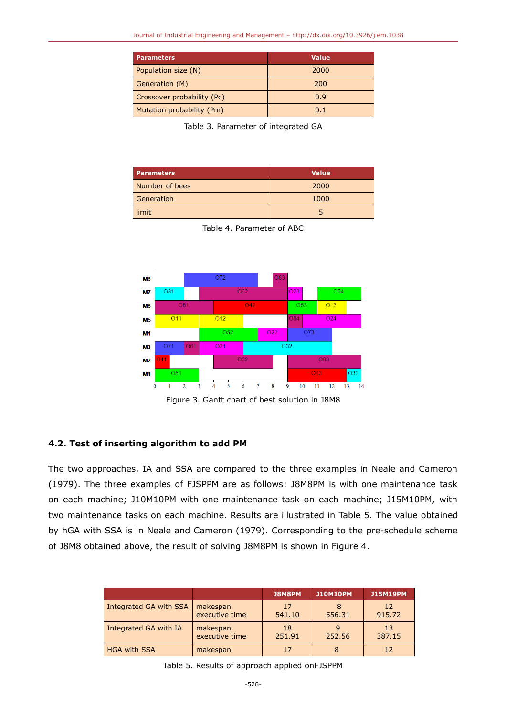| <b>Parameters</b>          | <b>Value</b> |  |  |
|----------------------------|--------------|--|--|
| Population size (N)        | 2000         |  |  |
| Generation (M)             | 200          |  |  |
| Crossover probability (Pc) | 0.9          |  |  |
| Mutation probability (Pm)  | 0.1          |  |  |

Table 3. Parameter of integrated GA

| <b>Parameters</b> | <b>Value</b> |  |  |
|-------------------|--------------|--|--|
| Number of bees    | 2000         |  |  |
| Generation        | 1000         |  |  |
| limit             |              |  |  |





Figure 3. Gantt chart of best solution in J8M8

## **4.2. Test of inserting algorithm to add PM**

The two approaches, IA and SSA are compared to the three examples in Neale and Cameron (1979). The three examples of FJSPPM are as follows: J8M8PM is with one maintenance task on each machine; J10M10PM with one maintenance task on each machine; J15M10PM, with two maintenance tasks on each machine. Results are illustrated in Table 5. The value obtained by hGA with SSA is in Neale and Cameron (1979). Corresponding to the pre-schedule scheme of J8M8 obtained above, the result of solving J8M8PM is shown in Figure 4.

|                        |                            | J8M8PM       | <b>J10M10PM</b> | <b>J15M19PM</b> |
|------------------------|----------------------------|--------------|-----------------|-----------------|
| Integrated GA with SSA | makespan<br>executive time | 17<br>541.10 | 556.31          | 12<br>915.72    |
| Integrated GA with IA  | makespan<br>executive time | 18<br>251.91 | 252.56          | 13<br>387.15    |
| <b>HGA with SSA</b>    | makespan                   | 17           |                 |                 |

Table 5. Results of approach applied onFJSPPM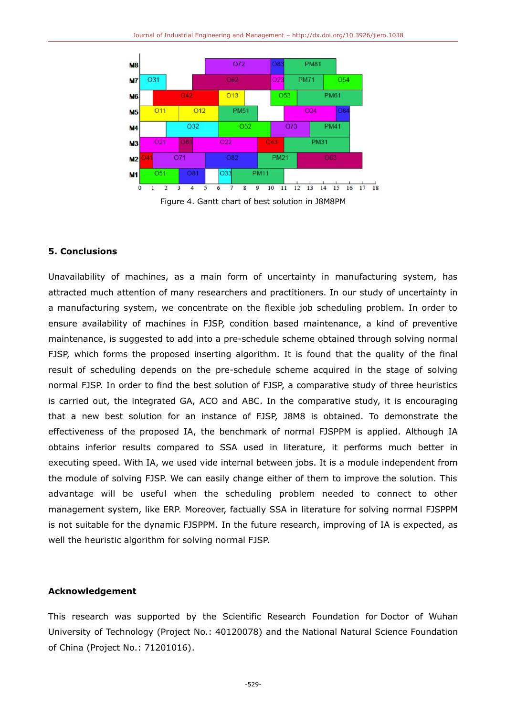



## **5. Conclusions**

Unavailability of machines, as a main form of uncertainty in manufacturing system, has attracted much attention of many researchers and practitioners. In our study of uncertainty in a manufacturing system, we concentrate on the flexible job scheduling problem. In order to ensure availability of machines in FJSP, condition based maintenance, a kind of preventive maintenance, is suggested to add into a pre-schedule scheme obtained through solving normal FJSP, which forms the proposed inserting algorithm. It is found that the quality of the final result of scheduling depends on the pre-schedule scheme acquired in the stage of solving normal FJSP. In order to find the best solution of FJSP, a comparative study of three heuristics is carried out, the integrated GA, ACO and ABC. In the comparative study, it is encouraging that a new best solution for an instance of FJSP, J8M8 is obtained. To demonstrate the effectiveness of the proposed IA, the benchmark of normal FJSPPM is applied. Although IA obtains inferior results compared to SSA used in literature, it performs much better in executing speed. With IA, we used vide internal between jobs. It is a module independent from the module of solving FJSP. We can easily change either of them to improve the solution. This advantage will be useful when the scheduling problem needed to connect to other management system, like ERP. Moreover, factually SSA in literature for solving normal FJSPPM is not suitable for the dynamic FJSPPM. In the future research, improving of IA is expected, as well the heuristic algorithm for solving normal FJSP.

# **Acknowledgement**

This research was supported by the Scientific Research Foundation for Doctor of Wuhan University of Technology (Project No.: 40120078) and the National Natural Science Foundation of China (Project No.: 71201016).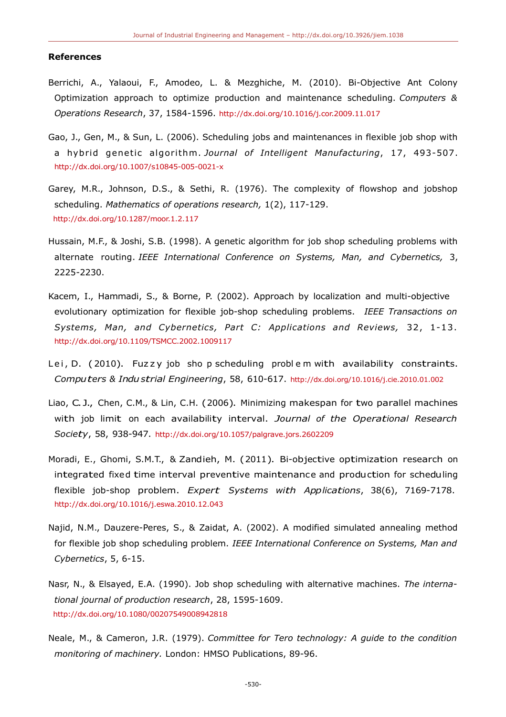#### **References**

- Berrichi, A., Yalaoui, F., Amodeo, L. & Mezghiche, M. (2010). Bi-Objective Ant Colony Optimization approach to optimize production and maintenance scheduling. *Computers & Operations Research*, 37, 1584-1596. <http://dx.doi.org/10.1016/j.cor.2009.11.017>
- Gao, J., Gen, M., & Sun, L. (2006). Scheduling jobs and maintenances in flexible job shop with a hybrid genetic algorithm. Journal of Intelligent Manufacturing, 17, 493-507. <http://dx.doi.org/10.1007/s10845-005-0021-x>
- Garey, M.R., Johnson, D.S., & Sethi, R. (1976). The complexity of flowshop and jobshop scheduling. *Mathematics of operations research,* 1(2), 117-129. <http://dx.doi.org/10.1287/moor.1.2.117>
- Hussain, M.F., & Joshi, S.B. (1998). A genetic algorithm for job shop scheduling problems with alternate routing. *IEEE International Conference on Systems, Man, and Cybernetics,* 3, 2225-2230.
- Kacem, I., Hammadi, S., & Borne, P. (2002). Approach by localization and multi-objective evolutionary optimization for flexible job-shop scheduling problems. *IEEE Transactions on Systems, Man, and Cybernetics, Part C: Applications and Reviews,* 32, 1-13 . <http://dx.doi.org/10.1109/TSMCC.2002.1009117>
- Lei, D. (2010). Fuzzy job sho p scheduling problem with availability constraints. *Computers & Industrial Engineering*, 58, 610-617. <http://dx.doi.org/10.1016/j.cie.2010.01.002>
- Liao, C. J., Chen, C.M., & Lin, C.H. (2006). Minimizing makespan for two parallel machines with job limit on each availability interval. *Journal of the Operational Research Society*, 58, 938-947. <http://dx.doi.org/10.1057/palgrave.jors.2602209>
- Moradi, E., Ghomi, S.M.T., & Zandieh, M. (2011). Bi-objective optimization research on integrated fixed time interval preventive maintenance and production for scheduling flexible job-shop problem. *Expert Systems with Applications*, 38(6), 7169-7178. <http://dx.doi.org/10.1016/j.eswa.2010.12.043>
- Najid, N.M., Dauzere-Peres, S., & Zaidat, A. (2002). A modified simulated annealing method for flexible job shop scheduling problem. *IEEE International Conference on Systems, Man and Cybernetics*, 5, 6-15.
- Nasr, N., & Elsayed, E.A. (1990). Job shop scheduling with alternative machines. *The international journal of production research*, 28, 1595-1609. <http://dx.doi.org/10.1080/00207549008942818>
- Neale, M., & Cameron, J.R. (1979). *Committee for Tero technology: A guide to the condition monitoring of machinery.* London: HMSO Publications, 89-96.